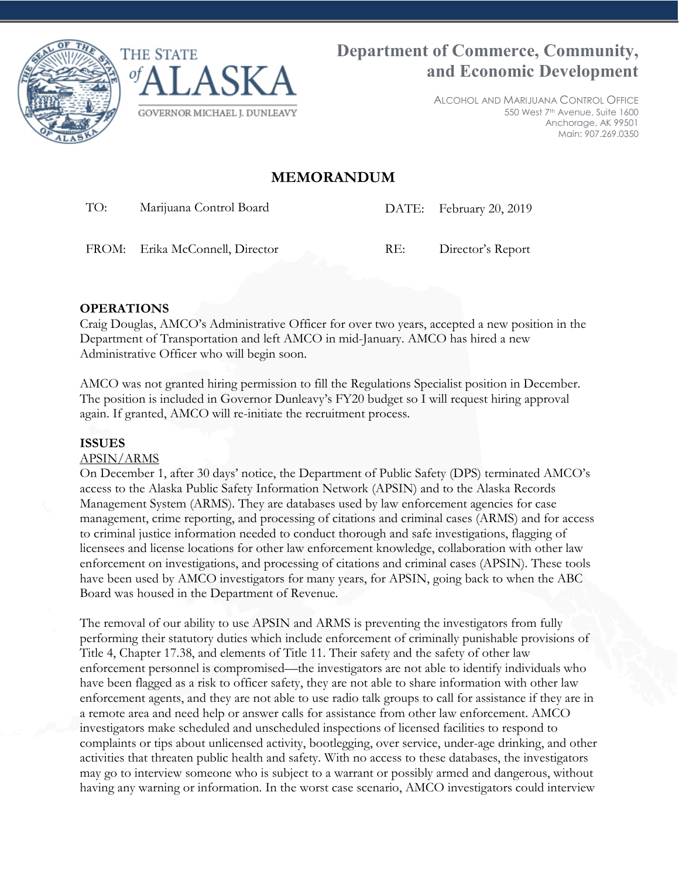



ALCOHOL AND MARIJUANA CONTROL OFFICE 550 West 7th Avenue, Suite 1600 Anchorage, AK 99501 Main: 907.269.0350

# **MEMORANDUM**

TO: Marijuana Control Board DATE: February 20, 2019

FROM: Erika McConnell, Director RE: Director's Report

## **OPERATIONS**

Craig Douglas, AMCO's Administrative Officer for over two years, accepted a new position in the Department of Transportation and left AMCO in mid-January. AMCO has hired a new Administrative Officer who will begin soon.

AMCO was not granted hiring permission to fill the Regulations Specialist position in December. The position is included in Governor Dunleavy's FY20 budget so I will request hiring approval again. If granted, AMCO will re-initiate the recruitment process.

#### **ISSUES**

### APSIN/ARMS

On December 1, after 30 days' notice, the Department of Public Safety (DPS) terminated AMCO's access to the Alaska Public Safety Information Network (APSIN) and to the Alaska Records Management System (ARMS). They are databases used by law enforcement agencies for case management, crime reporting, and processing of citations and criminal cases (ARMS) and for access to criminal justice information needed to conduct thorough and safe investigations, flagging of licensees and license locations for other law enforcement knowledge, collaboration with other law enforcement on investigations, and processing of citations and criminal cases (APSIN). These tools have been used by AMCO investigators for many years, for APSIN, going back to when the ABC Board was housed in the Department of Revenue.

The removal of our ability to use APSIN and ARMS is preventing the investigators from fully performing their statutory duties which include enforcement of criminally punishable provisions of Title 4, Chapter 17.38, and elements of Title 11. Their safety and the safety of other law enforcement personnel is compromised—the investigators are not able to identify individuals who have been flagged as a risk to officer safety, they are not able to share information with other law enforcement agents, and they are not able to use radio talk groups to call for assistance if they are in a remote area and need help or answer calls for assistance from other law enforcement. AMCO investigators make scheduled and unscheduled inspections of licensed facilities to respond to complaints or tips about unlicensed activity, bootlegging, over service, under-age drinking, and other activities that threaten public health and safety. With no access to these databases, the investigators may go to interview someone who is subject to a warrant or possibly armed and dangerous, without having any warning or information. In the worst case scenario, AMCO investigators could interview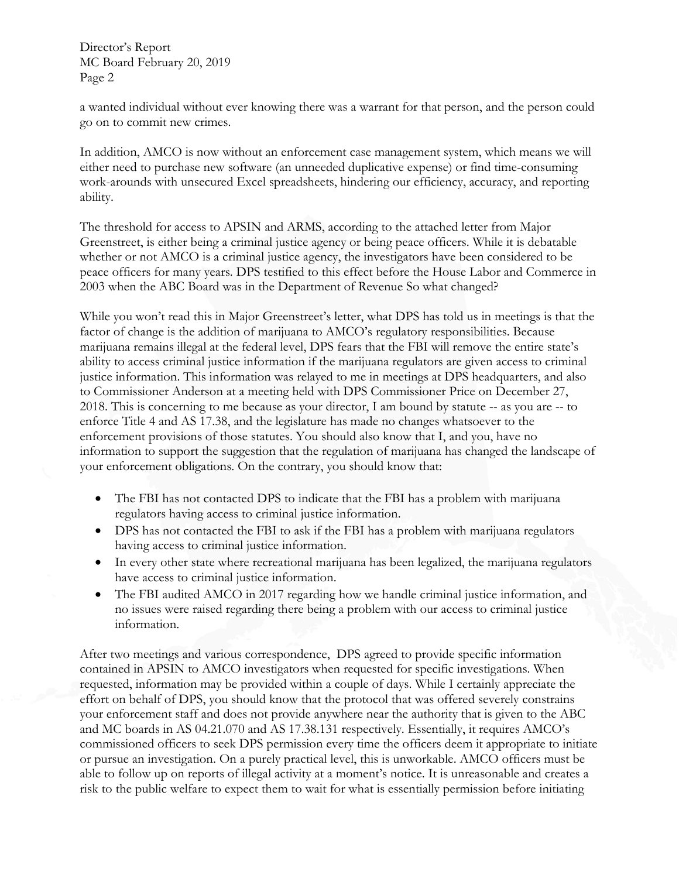Director's Report MC Board February 20, 2019 Page 2

a wanted individual without ever knowing there was a warrant for that person, and the person could go on to commit new crimes.

In addition, AMCO is now without an enforcement case management system, which means we will either need to purchase new software (an unneeded duplicative expense) or find time-consuming work-arounds with unsecured Excel spreadsheets, hindering our efficiency, accuracy, and reporting ability.

The threshold for access to APSIN and ARMS, according to the attached letter from Major Greenstreet, is either being a criminal justice agency or being peace officers. While it is debatable whether or not AMCO is a criminal justice agency, the investigators have been considered to be peace officers for many years. DPS testified to this effect before the House Labor and Commerce in 2003 when the ABC Board was in the Department of Revenue So what changed?

While you won't read this in Major Greenstreet's letter, what DPS has told us in meetings is that the factor of change is the addition of marijuana to AMCO's regulatory responsibilities. Because marijuana remains illegal at the federal level, DPS fears that the FBI will remove the entire state's ability to access criminal justice information if the marijuana regulators are given access to criminal justice information. This information was relayed to me in meetings at DPS headquarters, and also to Commissioner Anderson at a meeting held with DPS Commissioner Price on December 27, 2018. This is concerning to me because as your director, I am bound by statute -- as you are -- to enforce Title 4 and AS 17.38, and the legislature has made no changes whatsoever to the enforcement provisions of those statutes. You should also know that I, and you, have no information to support the suggestion that the regulation of marijuana has changed the landscape of your enforcement obligations. On the contrary, you should know that:

- The FBI has not contacted DPS to indicate that the FBI has a problem with marijuana regulators having access to criminal justice information.
- DPS has not contacted the FBI to ask if the FBI has a problem with marijuana regulators having access to criminal justice information.
- In every other state where recreational marijuana has been legalized, the marijuana regulators have access to criminal justice information.
- The FBI audited AMCO in 2017 regarding how we handle criminal justice information, and no issues were raised regarding there being a problem with our access to criminal justice information.

After two meetings and various correspondence, DPS agreed to provide specific information contained in APSIN to AMCO investigators when requested for specific investigations. When requested, information may be provided within a couple of days. While I certainly appreciate the effort on behalf of DPS, you should know that the protocol that was offered severely constrains your enforcement staff and does not provide anywhere near the authority that is given to the ABC and MC boards in AS 04.21.070 and AS 17.38.131 respectively. Essentially, it requires AMCO's commissioned officers to seek DPS permission every time the officers deem it appropriate to initiate or pursue an investigation. On a purely practical level, this is unworkable. AMCO officers must be able to follow up on reports of illegal activity at a moment's notice. It is unreasonable and creates a risk to the public welfare to expect them to wait for what is essentially permission before initiating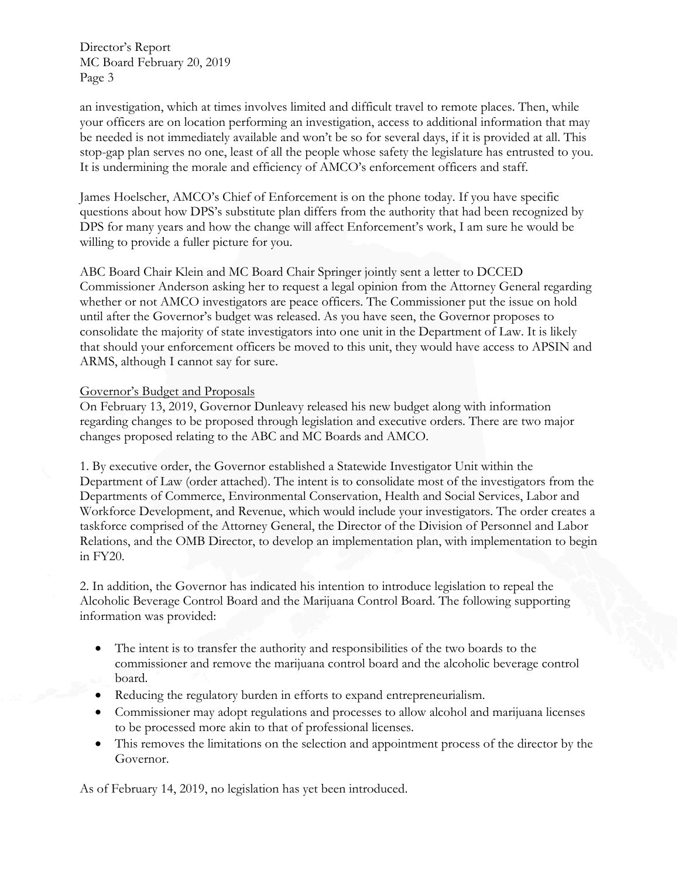Director's Report MC Board February 20, 2019 Page 3

an investigation, which at times involves limited and difficult travel to remote places. Then, while your officers are on location performing an investigation, access to additional information that may be needed is not immediately available and won't be so for several days, if it is provided at all. This stop-gap plan serves no one, least of all the people whose safety the legislature has entrusted to you. It is undermining the morale and efficiency of AMCO's enforcement officers and staff.

James Hoelscher, AMCO's Chief of Enforcement is on the phone today. If you have specific questions about how DPS's substitute plan differs from the authority that had been recognized by DPS for many years and how the change will affect Enforcement's work, I am sure he would be willing to provide a fuller picture for you.

ABC Board Chair Klein and MC Board Chair Springer jointly sent a letter to DCCED Commissioner Anderson asking her to request a legal opinion from the Attorney General regarding whether or not AMCO investigators are peace officers. The Commissioner put the issue on hold until after the Governor's budget was released. As you have seen, the Governor proposes to consolidate the majority of state investigators into one unit in the Department of Law. It is likely that should your enforcement officers be moved to this unit, they would have access to APSIN and ARMS, although I cannot say for sure.

#### Governor's Budget and Proposals

On February 13, 2019, Governor Dunleavy released his new budget along with information regarding changes to be proposed through legislation and executive orders. There are two major changes proposed relating to the ABC and MC Boards and AMCO.

1. By executive order, the Governor established a Statewide Investigator Unit within the Department of Law (order attached). The intent is to consolidate most of the investigators from the Departments of Commerce, Environmental Conservation, Health and Social Services, Labor and Workforce Development, and Revenue, which would include your investigators. The order creates a taskforce comprised of the Attorney General, the Director of the Division of Personnel and Labor Relations, and the OMB Director, to develop an implementation plan, with implementation to begin in FY20.

2. In addition, the Governor has indicated his intention to introduce legislation to repeal the Alcoholic Beverage Control Board and the Marijuana Control Board. The following supporting information was provided:

- The intent is to transfer the authority and responsibilities of the two boards to the commissioner and remove the marijuana control board and the alcoholic beverage control board.
- Reducing the regulatory burden in efforts to expand entrepreneurialism.
- Commissioner may adopt regulations and processes to allow alcohol and marijuana licenses to be processed more akin to that of professional licenses.
- This removes the limitations on the selection and appointment process of the director by the Governor.

As of February 14, 2019, no legislation has yet been introduced.